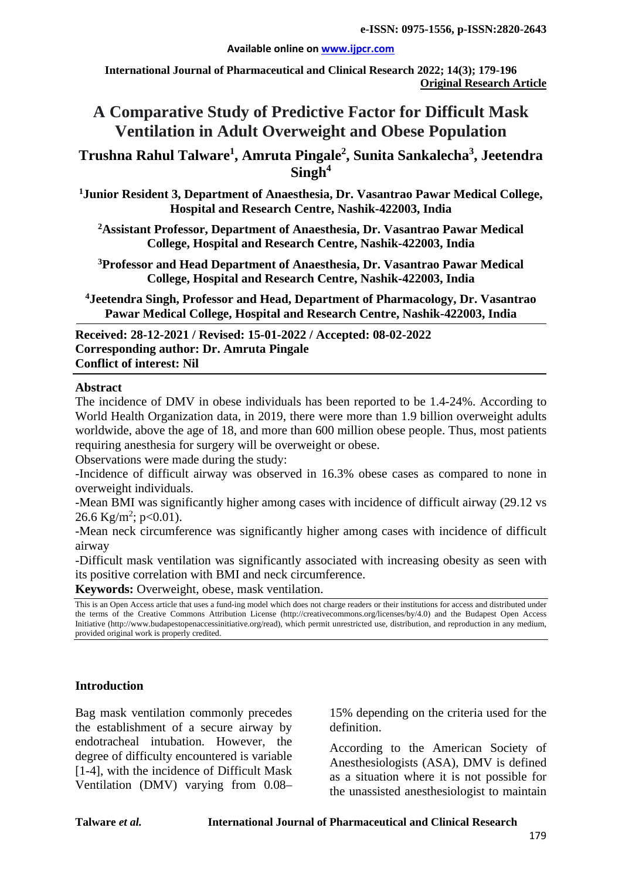**International Journal of Pharmaceutical and Clinical Research 2022; 14(3); 179-196 Original Research Article**

# **A Comparative Study of Predictive Factor for Difficult Mask Ventilation in Adult Overweight and Obese Population**

**Trushna Rahul Talware1 , Amruta Pingale2 , Sunita Sankalecha<sup>3</sup> , Jeetendra Singh4**

**1 Junior Resident 3, Department of Anaesthesia, Dr. Vasantrao Pawar Medical College, Hospital and Research Centre, Nashik-422003, India**

**2 Assistant Professor, Department of Anaesthesia, Dr. Vasantrao Pawar Medical College, Hospital and Research Centre, Nashik-422003, India**

**3 Professor and Head Department of Anaesthesia, Dr. Vasantrao Pawar Medical College, Hospital and Research Centre, Nashik-422003, India**

**4Jeetendra Singh, Professor and Head, Department of Pharmacology, Dr. Vasantrao Pawar Medical College, Hospital and Research Centre, Nashik-422003, India**

**Received: 28-12-2021 / Revised: 15-01-2022 / Accepted: 08-02-2022 Corresponding author: Dr. Amruta Pingale Conflict of interest: Nil**

#### **Abstract**

The incidence of DMV in obese individuals has been reported to be 1.4-24%. According to World Health Organization data, in 2019, there were more than 1.9 billion overweight adults worldwide, above the age of 18, and more than 600 million obese people. Thus, most patients requiring anesthesia for surgery will be overweight or obese.

Observations were made during the study:

-Incidence of difficult airway was observed in 16.3% obese cases as compared to none in overweight individuals.

-Mean BMI was significantly higher among cases with incidence of difficult airway (29.12 vs 26.6 Kg/m<sup>2</sup>; p<0.01).

-Mean neck circumference was significantly higher among cases with incidence of difficult airway

-Difficult mask ventilation was significantly associated with increasing obesity as seen with its positive correlation with BMI and neck circumference.

**Keywords:** Overweight, obese, mask ventilation.

This is an Open Access article that uses a fund-ing model which does not charge readers or their institutions for access and distributed under the terms of the Creative Commons Attribution License (http://creativecommons.org/licenses/by/4.0) and the Budapest Open Access Initiative (http://www.budapestopenaccessinitiative.org/read), which permit unrestricted use, distribution, and reproduction in any medium, provided original work is properly credited.

#### **Introduction**

Bag mask ventilation commonly precedes the establishment of a secure airway by endotracheal intubation. However, the degree of difficulty encountered is variable [1-4], with the incidence of Difficult Mask Ventilation (DMV) varying from 0.08– 15% depending on the criteria used for the definition.

According to the American Society of Anesthesiologists (ASA), DMV is defined as a situation where it is not possible for the unassisted anesthesiologist to maintain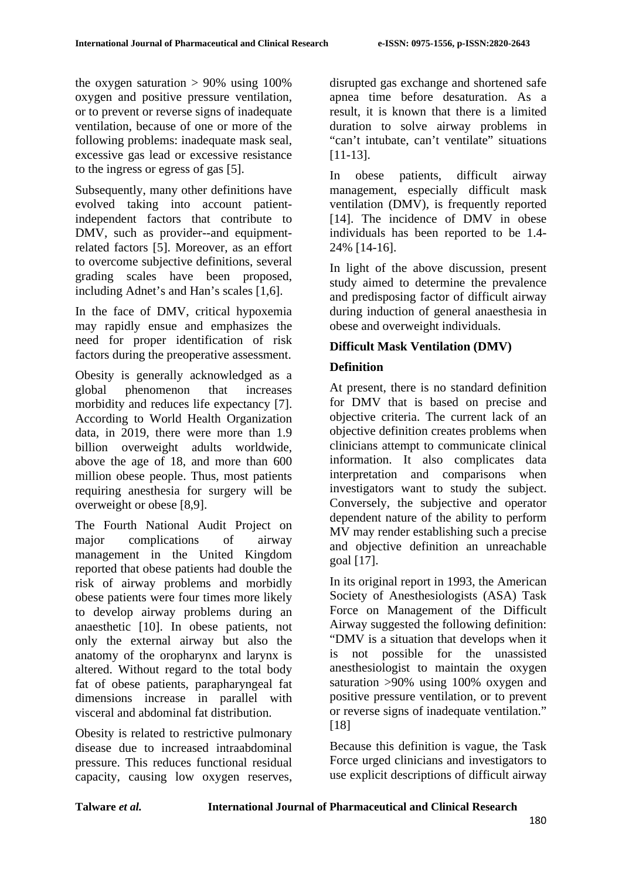the oxygen saturation  $> 90\%$  using 100% oxygen and positive pressure ventilation, or to prevent or reverse signs of inadequate ventilation, because of one or more of the following problems: inadequate mask seal, excessive gas lead or excessive resistance to the ingress or egress of gas [5].

Subsequently, many other definitions have evolved taking into account patientindependent factors that contribute to DMV, such as provider--and equipmentrelated factors [5]. Moreover, as an effort to overcome subjective definitions, several grading scales have been proposed, including Adnet's and Han's scales [1,6].

In the face of DMV, critical hypoxemia may rapidly ensue and emphasizes the need for proper identification of risk factors during the preoperative assessment.

Obesity is generally acknowledged as a global phenomenon that increases morbidity and reduces life expectancy [7]. According to World Health Organization data, in 2019, there were more than 1.9 billion overweight adults worldwide, above the age of 18, and more than 600 million obese people. Thus, most patients requiring anesthesia for surgery will be overweight or obese [8,9].

The Fourth National Audit Project on major complications of airway management in the United Kingdom reported that obese patients had double the risk of airway problems and morbidly obese patients were four times more likely to develop airway problems during an anaesthetic [10]. In obese patients, not only the external airway but also the anatomy of the oropharynx and larynx is altered. Without regard to the total body fat of obese patients, parapharyngeal fat dimensions increase in parallel with visceral and abdominal fat distribution.

Obesity is related to restrictive pulmonary disease due to increased intraabdominal pressure. This reduces functional residual capacity, causing low oxygen reserves, disrupted gas exchange and shortened safe apnea time before desaturation. As a result, it is known that there is a limited duration to solve airway problems in "can't intubate, can't ventilate" situations [11-13].

In obese patients, difficult airway management, especially difficult mask ventilation (DMV), is frequently reported [14]. The incidence of DMV in obese individuals has been reported to be 1.4- 24% [14-16].

In light of the above discussion, present study aimed to determine the prevalence and predisposing factor of difficult airway during induction of general anaesthesia in obese and overweight individuals.

# **Difficult Mask Ventilation (DMV)**

# **Definition**

At present, there is no standard definition for DMV that is based on precise and objective criteria. The current lack of an objective definition creates problems when clinicians attempt to communicate clinical information. It also complicates data interpretation and comparisons when investigators want to study the subject. Conversely, the subjective and operator dependent nature of the ability to perform MV may render establishing such a precise and objective definition an unreachable goal [17].

In its original report in 1993, the American Society of Anesthesiologists (ASA) Task Force on Management of the Difficult Airway suggested the following definition: "DMV is a situation that develops when it is not possible for the unassisted anesthesiologist to maintain the oxygen saturation >90% using 100% oxygen and positive pressure ventilation, or to prevent or reverse signs of inadequate ventilation." [18]

Because this definition is vague, the Task Force urged clinicians and investigators to use explicit descriptions of difficult airway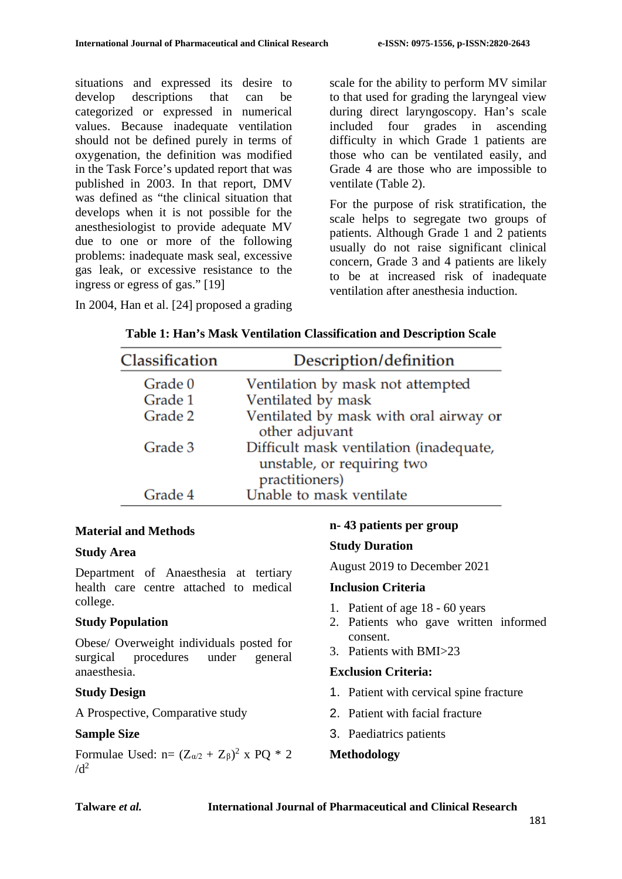situations and expressed its desire to develop descriptions that can be categorized or expressed in numerical values. Because inadequate ventilation should not be defined purely in terms of oxygenation, the definition was modified in the Task Force's updated report that was published in 2003. In that report, DMV was defined as "the clinical situation that develops when it is not possible for the anesthesiologist to provide adequate MV due to one or more of the following problems: inadequate mask seal, excessive gas leak, or excessive resistance to the ingress or egress of gas." [19]

scale for the ability to perform MV similar to that used for grading the laryngeal view during direct laryngoscopy. Han's scale included four grades in ascending difficulty in which Grade 1 patients are those who can be ventilated easily, and Grade 4 are those who are impossible to ventilate (Table 2).

For the purpose of risk stratification, the scale helps to segregate two groups of patients. Although Grade 1 and 2 patients usually do not raise significant clinical concern, Grade 3 and 4 patients are likely to be at increased risk of inadequate ventilation after anesthesia induction.

| Classification | Description/definition                                                                  |
|----------------|-----------------------------------------------------------------------------------------|
| Grade 0        | Ventilation by mask not attempted                                                       |
| Grade 1        | Ventilated by mask                                                                      |
| Grade 2        | Ventilated by mask with oral airway or<br>other adjuvant                                |
| Grade 3        | Difficult mask ventilation (inadequate,<br>unstable, or requiring two<br>practitioners) |
| Grade 4        | Unable to mask ventilate                                                                |

**Table 1: Han's Mask Ventilation Classification and Description Scale**

In 2004, Han et al. [24] proposed a grading

# **Material and Methods**

### **Study Area**

Department of Anaesthesia at tertiary health care centre attached to medical college.

### **Study Population**

Obese/ Overweight individuals posted for surgical procedures under general anaesthesia.

### **Study Design**

A Prospective, Comparative study

### **Sample Size**

Formulae Used:  $n = (Z_{\alpha/2} + Z_{\beta})^2$  x PQ \* 2  $/d^2$ 

# **n- 43 patients per group**

### **Study Duration**

August 2019 to December 2021

### **Inclusion Criteria**

- 1. Patient of age 18 60 years
- 2. Patients who gave written informed consent.
- 3. Patients with BMI>23

### **Exclusion Criteria:**

- 1. Patient with cervical spine fracture
- 2. Patient with facial fracture
- 3. Paediatrics patients

# **Methodology**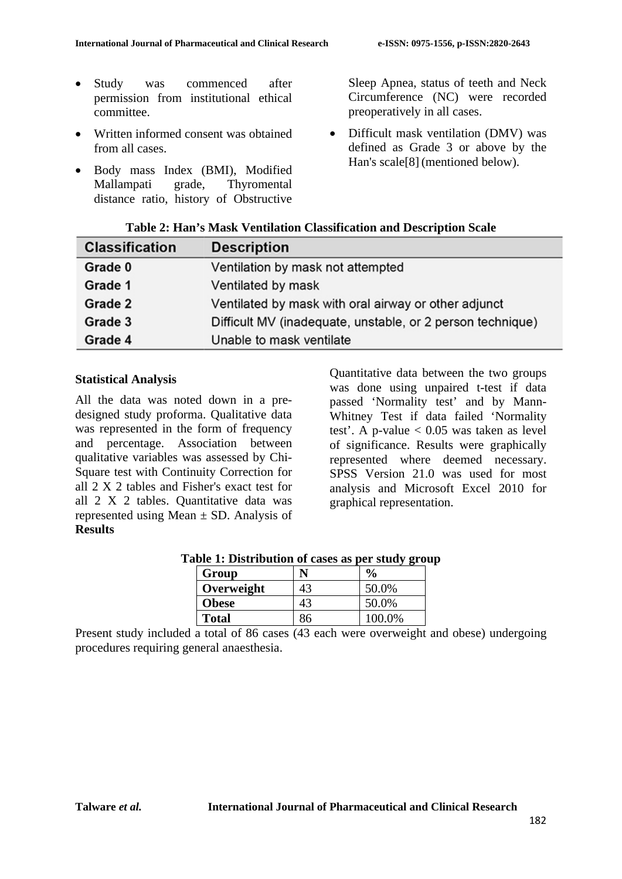- Study was commenced after permission from institutional ethical committee.
- Written informed consent was obtained from all cases.
- Body mass Index (BMI), Modified Mallampati grade, Thyromental distance ratio, history of Obstructive

Sleep Apnea, status of teeth and Neck Circumference (NC) were recorded preoperatively in all cases.

• Difficult mask ventilation (DMV) was defined as Grade 3 or above by the Han's scale[8] (mentioned below).

| Table 2: Han's Mask Ventilation Classification and Description Scale |  |  |  |  |  |
|----------------------------------------------------------------------|--|--|--|--|--|
|----------------------------------------------------------------------|--|--|--|--|--|

| <b>Classification</b> | <b>Description</b>                                         |
|-----------------------|------------------------------------------------------------|
| Grade 0               | Ventilation by mask not attempted                          |
| Grade 1               | Ventilated by mask                                         |
| Grade 2               | Ventilated by mask with oral airway or other adjunct       |
| Grade 3               | Difficult MV (inadequate, unstable, or 2 person technique) |
| Grade 4               | Unable to mask ventilate                                   |

#### **Statistical Analysis**

All the data was noted down in a predesigned study proforma. Qualitative data was represented in the form of frequency and percentage. Association between qualitative variables was assessed by Chi-Square test with Continuity Correction for all 2 X 2 tables and Fisher's exact test for all 2 X 2 tables. Quantitative data was represented using Mean  $\pm$  SD. Analysis of **Results**

Quantitative data between the two groups was done using unpaired t-test if data passed 'Normality test' and by Mann-Whitney Test if data failed 'Normality test'. A p-value  $< 0.05$  was taken as level of significance. Results were graphically represented where deemed necessary. SPSS Version 21.0 was used for most analysis and Microsoft Excel 2010 for graphical representation.

| Group        |    | $\frac{6}{9}$ |
|--------------|----|---------------|
| Overweight   | 43 | 50.0%         |
| <b>Obese</b> | 43 | 50.0%         |
| <b>Total</b> | 86 | 100.0%        |

**Table 1: Distribution of cases as per study group**

Present study included a total of 86 cases (43 each were overweight and obese) undergoing procedures requiring general anaesthesia.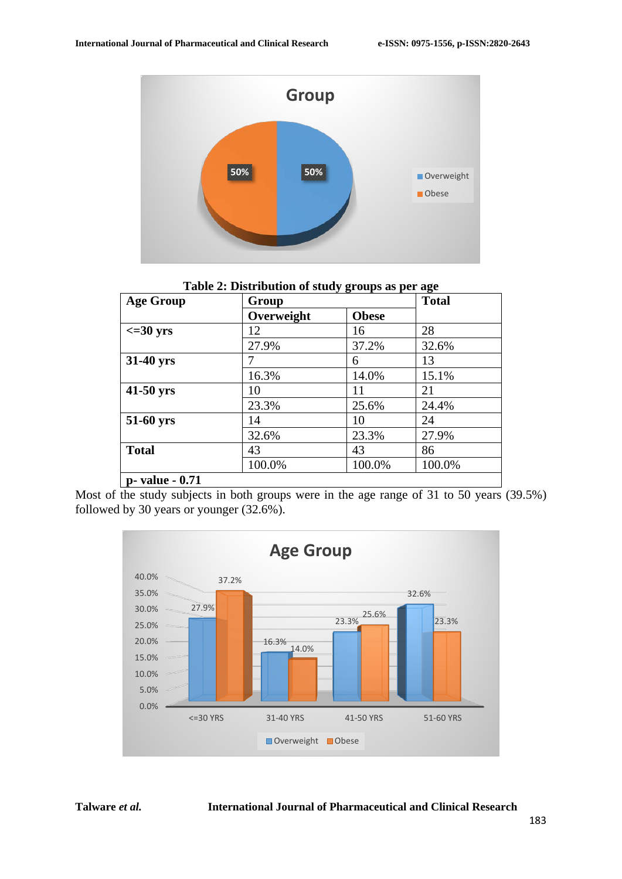

**Table 2: Distribution of study groups as per age**

| <b>Age Group</b>    | Group      |              | <b>Total</b> |
|---------------------|------------|--------------|--------------|
|                     | Overweight | <b>Obese</b> |              |
| $\epsilon = 30$ yrs | 12         | 16           | 28           |
|                     | 27.9%      | 37.2%        | 32.6%        |
| 31-40 yrs           |            | 6            | 13           |
|                     | 16.3%      | 14.0%        | 15.1%        |
| 41-50 yrs           | 10         | 11           | 21           |
|                     | 23.3%      | 25.6%        | 24.4%        |
| 51-60 yrs           | 14         | 10           | 24           |
|                     | 32.6%      | 23.3%        | 27.9%        |
| <b>Total</b>        | 43         | 43           | 86           |
|                     | 100.0%     | 100.0%       | 100.0%       |
| p- value - 0.71     |            |              |              |

Most of the study subjects in both groups were in the age range of 31 to 50 years (39.5%) followed by 30 years or younger (32.6%).

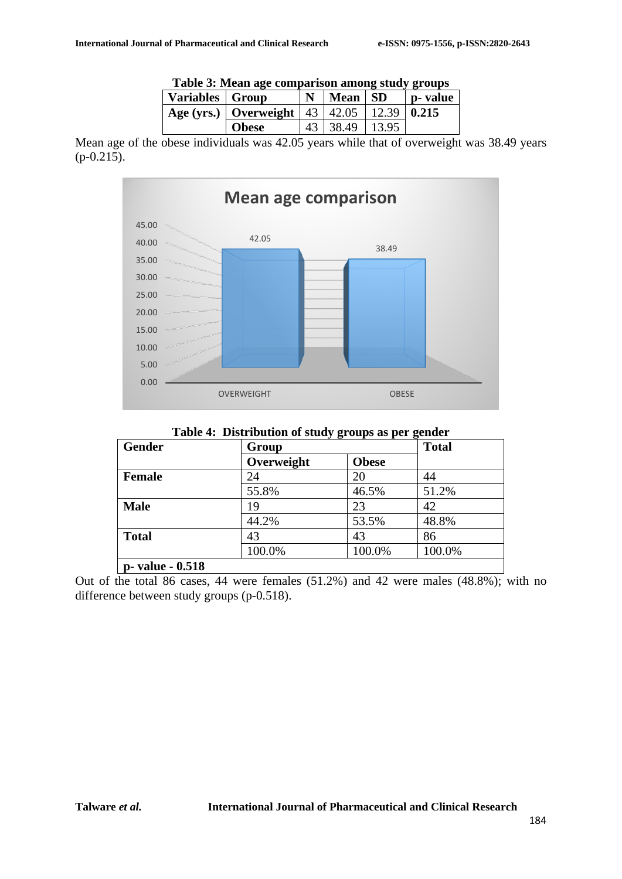|                   | TROIT OF THURST REV COMPAINDOM MILLONE DIGINE I COMPO |   |                |  |         |
|-------------------|-------------------------------------------------------|---|----------------|--|---------|
| Variables   Group |                                                       | N | Mean   SD      |  | p-value |
|                   | Age (yrs.)   Overweight   43   42.05   12.39   0.215  |   |                |  |         |
|                   | <b>Obese</b>                                          |   | 43 38.49 13.95 |  |         |

**Table 3: Mean age comparison among study groups**

Mean age of the obese individuals was 42.05 years while that of overweight was 38.49 years (p-0.215).



**Table 4: Distribution of study groups as per gender**

| <b>Gender</b>    | ີປ ອີີ<br>Group |              | <u>ə-</u><br><b>Total</b> |  |
|------------------|-----------------|--------------|---------------------------|--|
|                  | Overweight      | <b>Obese</b> |                           |  |
| <b>Female</b>    | 24              | 20           | 44                        |  |
|                  | 55.8%           | 46.5%        | 51.2%                     |  |
| <b>Male</b>      | 19              | 23           | 42                        |  |
|                  | 44.2%           | 53.5%        | 48.8%                     |  |
| <b>Total</b>     | 43              | 43           | 86                        |  |
|                  | 100.0%          | 100.0%       | 100.0%                    |  |
| p- value - 0.518 |                 |              |                           |  |

Out of the total 86 cases, 44 were females (51.2%) and 42 were males (48.8%); with no difference between study groups (p-0.518).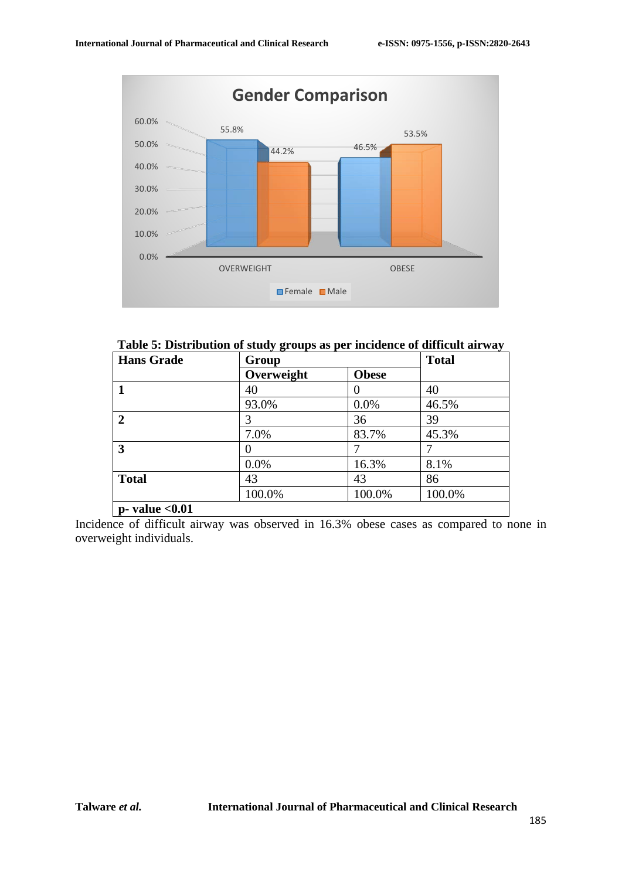

**Table 5: Distribution of study groups as per incidence of difficult airway**

| <b>Hans Grade</b>    | Group      |              | <b>Total</b> |  |
|----------------------|------------|--------------|--------------|--|
|                      | Overweight | <b>Obese</b> |              |  |
|                      | 40         |              | 40           |  |
|                      | 93.0%      | 0.0%         | 46.5%        |  |
| $\overline{2}$       | 3          | 36           | 39           |  |
|                      | 7.0%       | 83.7%        | 45.3%        |  |
| 3                    | 0          |              |              |  |
|                      | 0.0%       | 16.3%        | 8.1%         |  |
| <b>Total</b>         | 43         | 43           | 86           |  |
|                      | 100.0%     | 100.0%       | 100.0%       |  |
| $p$ - value $< 0.01$ |            |              |              |  |

Incidence of difficult airway was observed in 16.3% obese cases as compared to none in overweight individuals.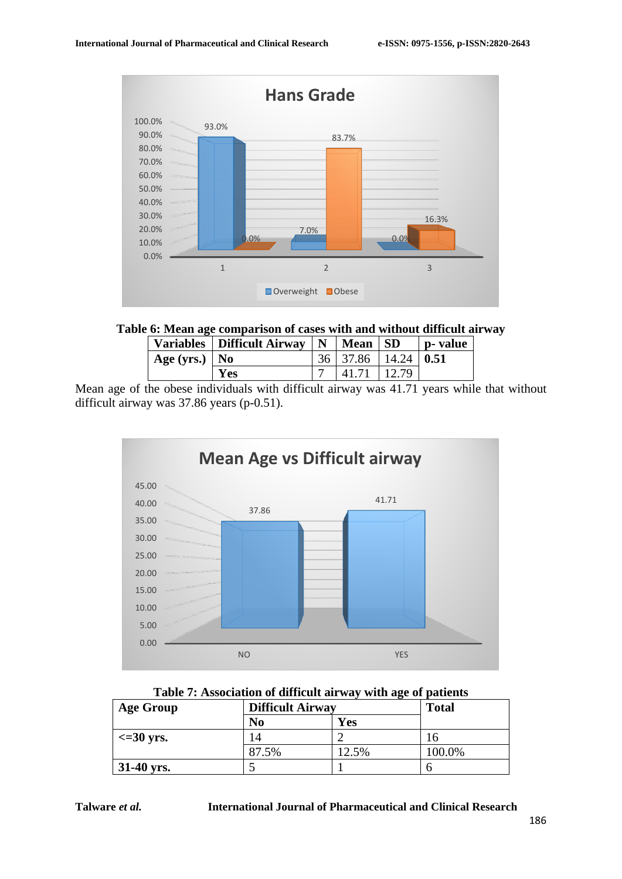

### **Table 6: Mean age comparison of cases with and without difficult airway**

|                 | Variables   Difficult Airway $\vert N \vert$ Mean   SD |                                      |       | p- value |
|-----------------|--------------------------------------------------------|--------------------------------------|-------|----------|
| Age (yrs.)   No |                                                        | $36 \mid 37.86 \mid 14.24 \mid 0.51$ |       |          |
|                 | <b>Yes</b>                                             | 41.71                                | 12.79 |          |

Mean age of the obese individuals with difficult airway was 41.71 years while that without difficult airway was 37.86 years (p-0.51).



| Table 7: Association of difficult airway with age of patients |  |  |
|---------------------------------------------------------------|--|--|
|---------------------------------------------------------------|--|--|

| <b>Age Group</b>    | <b>Difficult Airway</b> |       | <b>Total</b> |  |
|---------------------|-------------------------|-------|--------------|--|
|                     | N <sub>0</sub>          | Yes   |              |  |
| $\epsilon$ =30 yrs. |                         |       |              |  |
|                     | 87.5%                   | 12.5% | 100.0%       |  |
| $31-40$ yrs.        |                         |       |              |  |

**Talware** *et al.* **International Journal of Pharmaceutical and Clinical Research**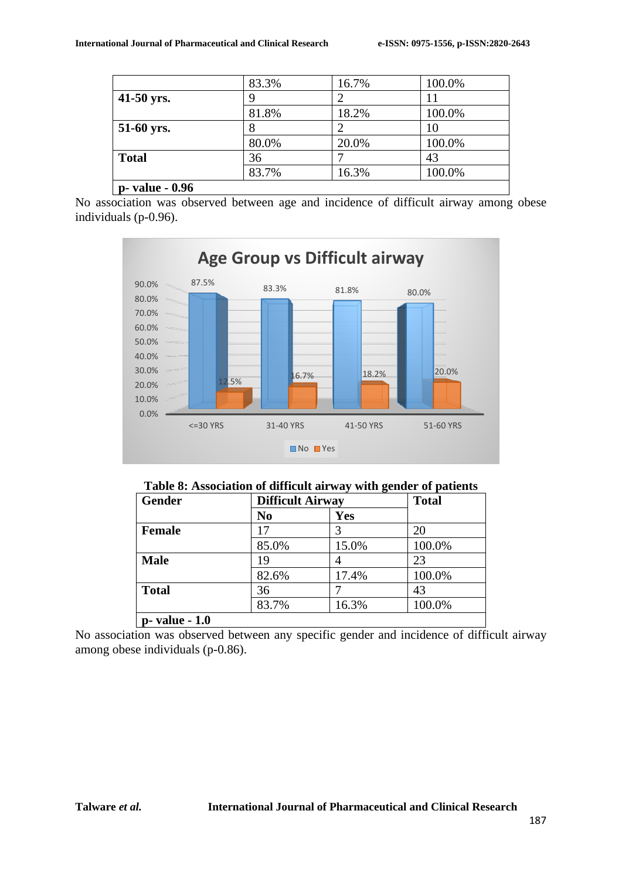|                         | 83.3% | 16.7% | 100.0% |
|-------------------------|-------|-------|--------|
| 41-50 yrs.              |       |       | 11     |
|                         | 81.8% | 18.2% | 100.0% |
| 51-60 yrs.              |       |       | 10     |
|                         | 80.0% | 20.0% | 100.0% |
| <b>Total</b>            | 36    |       | 43     |
|                         | 83.7% | 16.3% | 100.0% |
| <b>p</b> - value - 0.96 |       |       |        |

No association was observed between age and incidence of difficult airway among obese individuals (p-0.96).



### **Table 8: Association of difficult airway with gender of patients**

| <b>Gender</b>  | <b>Difficult Airway</b> |       | <b>Total</b> |  |
|----------------|-------------------------|-------|--------------|--|
|                | N <sub>0</sub>          | Yes   |              |  |
| <b>Female</b>  |                         |       | 20           |  |
|                | 85.0%                   | 15.0% | 100.0%       |  |
| <b>Male</b>    | 19                      |       | 23           |  |
|                | 82.6%                   | 17.4% | 100.0%       |  |
| <b>Total</b>   | 36                      |       | 43           |  |
|                | 83.7%                   | 16.3% | 100.0%       |  |
| p- value - 1.0 |                         |       |              |  |

No association was observed between any specific gender and incidence of difficult airway among obese individuals (p-0.86).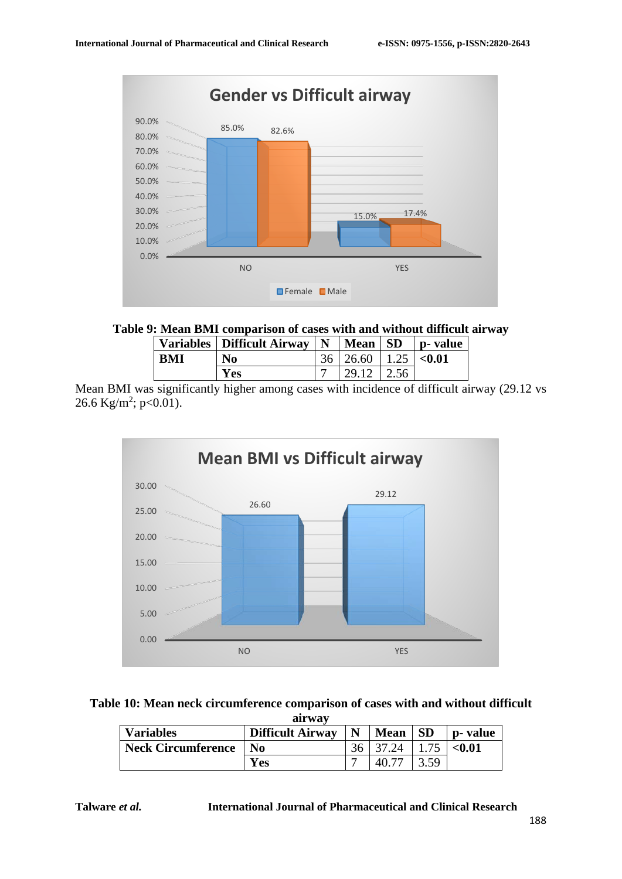

### **Table 9: Mean BMI comparison of cases with and without difficult airway**

|            | Variables   Difficult Airway   N   Mean   SD   p- value |                                      |  |
|------------|---------------------------------------------------------|--------------------------------------|--|
| <b>BMI</b> | N <sub>0</sub>                                          | $36 \mid 26.60 \mid 1.25 \mid <0.01$ |  |
|            | Yes                                                     | $29.12$   2.56                       |  |

Mean BMI was significantly higher among cases with incidence of difficult airway (29.12 vs 26.6 Kg/m<sup>2</sup>; p<0.01).



#### **Table 10: Mean neck circumference comparison of cases with and without difficult airway**

| <b>Variables</b>          | <b>Difficult Airway</b>     | N | <b>Mean</b> | <b>SD</b> | <b>p</b> - value |
|---------------------------|-----------------------------|---|-------------|-----------|------------------|
| <b>Neck Circumference</b> | $\overline{\phantom{a}}$ No |   |             |           | $0.01$           |
|                           | Yes                         |   |             |           |                  |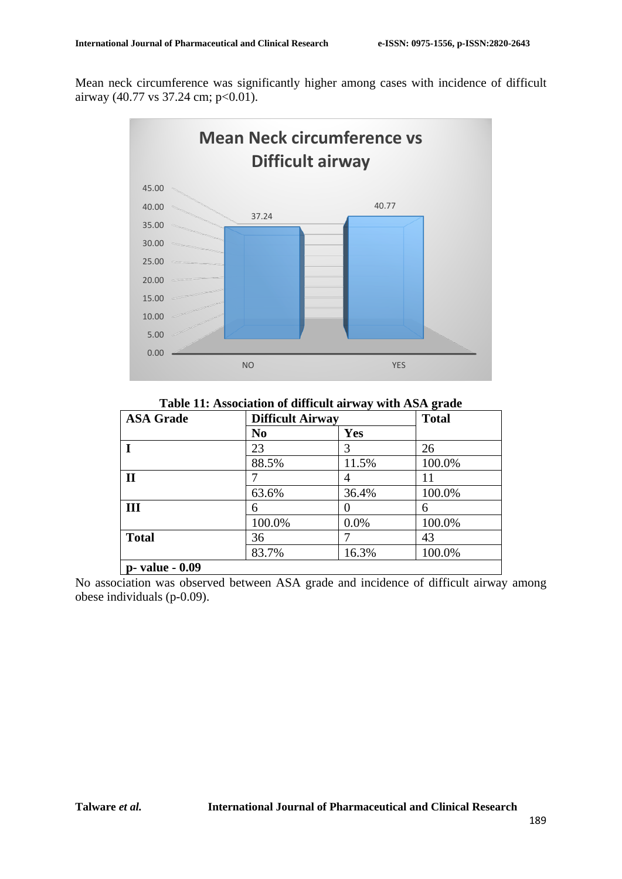Mean neck circumference was significantly higher among cases with incidence of difficult airway (40.77 vs 37.24 cm; p<0.01).



**Table 11: Association of difficult airway with ASA grade**

| <b>ASA Grade</b> |                | <b>Difficult Airway</b> |        |  |
|------------------|----------------|-------------------------|--------|--|
|                  | N <sub>0</sub> | Yes                     |        |  |
|                  | 23             | 3                       | 26     |  |
|                  | 88.5%          | 11.5%                   | 100.0% |  |
| $\mathbf{I}$     |                | $\overline{4}$          | 11     |  |
|                  | 63.6%          | 36.4%                   | 100.0% |  |
| III              | 6              | $\left( \right)$        | 6      |  |
|                  | 100.0%         | 0.0%                    | 100.0% |  |
| <b>Total</b>     | 36             |                         | 43     |  |
|                  | 83.7%          | 16.3%                   | 100.0% |  |
| p- value - 0.09  |                |                         |        |  |

No association was observed between ASA grade and incidence of difficult airway among obese individuals (p-0.09).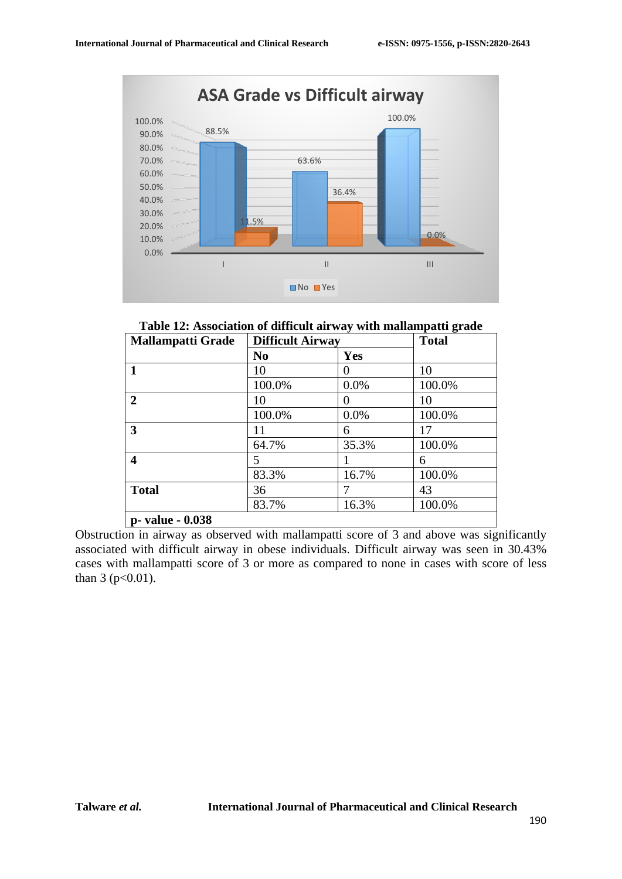

**Table 12: Association of difficult airway with mallampatti grade**

| <b>Mallampatti Grade</b> | <b>Difficult Airway</b> |            | <b>Total</b> |
|--------------------------|-------------------------|------------|--------------|
|                          | N <sub>0</sub>          | <b>Yes</b> |              |
| 1                        | 10                      | 0          | 10           |
|                          | 100.0%                  | 0.0%       | 100.0%       |
| $\overline{2}$           | 10                      | 0          | 10           |
|                          | 100.0%                  | 0.0%       | 100.0%       |
| 3                        | 11                      | 6          | 17           |
|                          | 64.7%                   | 35.3%      | 100.0%       |
| 4                        | 5                       |            | 6            |
|                          | 83.3%                   | 16.7%      | 100.0%       |
| <b>Total</b>             | 36                      |            | 43           |
|                          | 83.7%                   | 16.3%      | 100.0%       |
| p- value - 0.038         |                         |            |              |

Obstruction in airway as observed with mallampatti score of 3 and above was significantly associated with difficult airway in obese individuals. Difficult airway was seen in 30.43% cases with mallampatti score of 3 or more as compared to none in cases with score of less than  $3 (p<0.01)$ .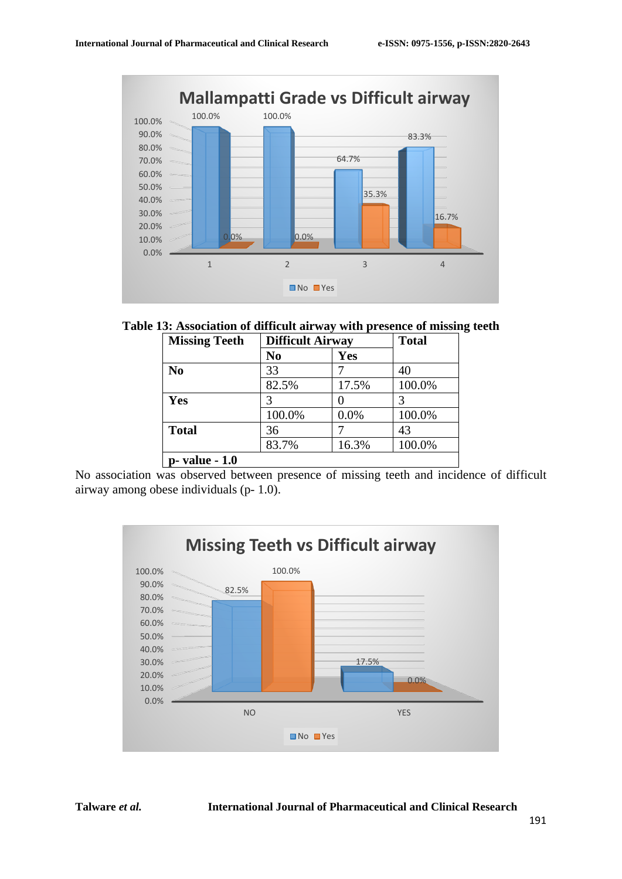

**Table 13: Association of difficult airway with presence of missing teeth**

| <b>Missing Teeth</b> | <b>Difficult Airway</b> |       | <b>Total</b> |  |
|----------------------|-------------------------|-------|--------------|--|
|                      | No                      | Yes   |              |  |
| N <sub>0</sub>       | 33                      |       | 40           |  |
|                      | 82.5%                   | 17.5% | 100.0%       |  |
| Yes                  |                         |       |              |  |
|                      | 100.0%                  | 0.0%  | 100.0%       |  |
| <b>Total</b>         | 36                      |       | 43           |  |
|                      | 83.7%                   | 16.3% | 100.0%       |  |
| p- value - 1.0       |                         |       |              |  |

No association was observed between presence of missing teeth and incidence of difficult airway among obese individuals (p- 1.0).

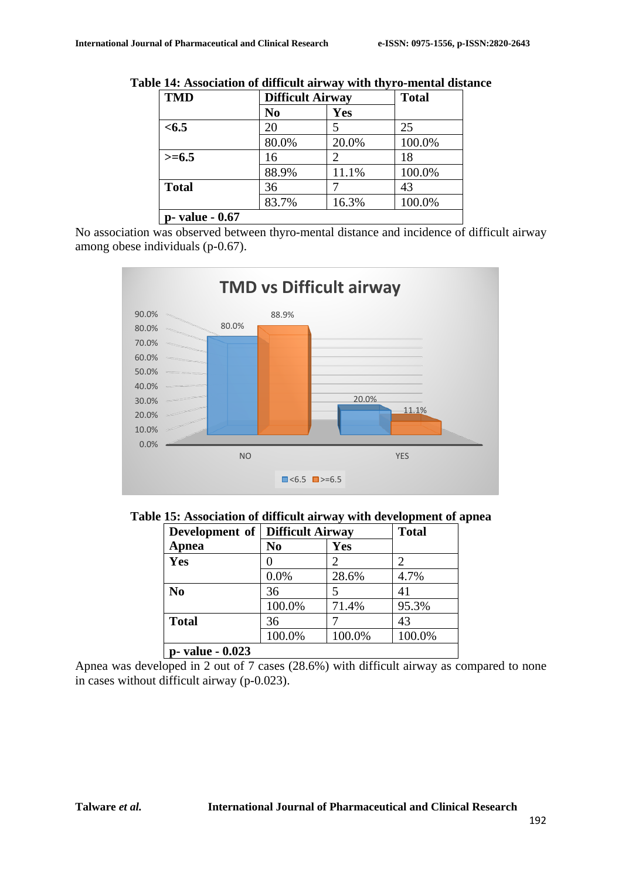| <b>TMD</b>      | <b>Difficult Airway</b> |       | <b>Total</b> |  |
|-----------------|-------------------------|-------|--------------|--|
|                 | N <sub>0</sub>          | Yes   |              |  |
| < 6.5           | 20                      | 5     | 25           |  |
|                 | 80.0%                   | 20.0% | 100.0%       |  |
| $>= 6.5$        | 16                      | 2     | 18           |  |
|                 | 88.9%                   | 11.1% | 100.0%       |  |
| <b>Total</b>    | 36                      |       | 43           |  |
|                 | 83.7%                   | 16.3% | 100.0%       |  |
| p- value - 0.67 |                         |       |              |  |

**Table 14: Association of difficult airway with thyro-mental distance**

No association was observed between thyro-mental distance and incidence of difficult airway among obese individuals (p-0.67).



**Table 15: Association of difficult airway with development of apnea**

| <b>Development of Difficult Airway</b> |                |        | <b>Total</b>                |
|----------------------------------------|----------------|--------|-----------------------------|
| <b>Apnea</b>                           | N <sub>0</sub> | Yes    |                             |
| Yes                                    |                | 2      | $\mathcal{D}_{\mathcal{A}}$ |
|                                        | 0.0%           | 28.6%  | 4.7%                        |
| N <sub>0</sub>                         | 36             | 5      | 41                          |
|                                        | 100.0%         | 71.4%  | 95.3%                       |
| <b>Total</b>                           | 36             |        | 43                          |
|                                        | 100.0%         | 100.0% | 100.0%                      |
| p- value - 0.023                       |                |        |                             |

Apnea was developed in 2 out of 7 cases (28.6%) with difficult airway as compared to none in cases without difficult airway (p-0.023).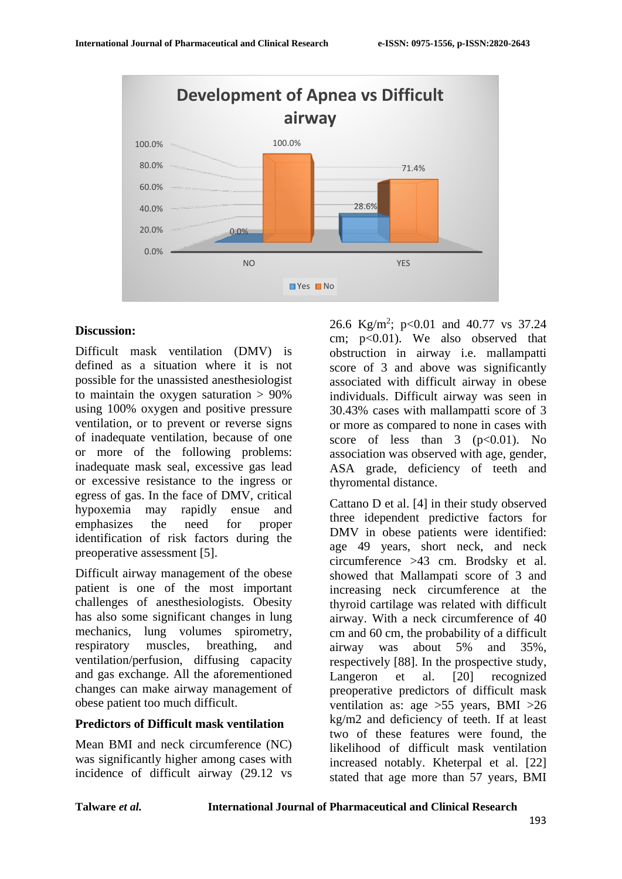

### **Discussion:**

Difficult mask ventilation (DMV) is defined as a situation where it is not possible for the unassisted anesthesiologist to maintain the oxygen saturation  $> 90\%$ using 100% oxygen and positive pressure ventilation, or to prevent or reverse signs of inadequate ventilation, because of one or more of the following problems: inadequate mask seal, excessive gas lead or excessive resistance to the ingress or egress of gas. In the face of DMV, critical hypoxemia may rapidly ensue and emphasizes the need for proper identification of risk factors during the preoperative assessment [5].

Difficult airway management of the obese patient is one of the most important challenges of anesthesiologists. Obesity has also some significant changes in lung mechanics, lung volumes spirometry, respiratory muscles, breathing, and ventilation/perfusion, diffusing capacity and gas exchange. All the aforementioned changes can make airway management of obese patient too much difficult.

### **Predictors of Difficult mask ventilation**

Mean BMI and neck circumference (NC) was significantly higher among cases with incidence of difficult airway (29.12 vs

26.6 Kg/m<sup>2</sup>; p<0.01 and 40.77 vs 37.24 cm;  $p<0.01$ ). We also observed that obstruction in airway i.e. mallampatti score of 3 and above was significantly associated with difficult airway in obese individuals. Difficult airway was seen in 30.43% cases with mallampatti score of 3 or more as compared to none in cases with score of less than  $3 \text{ (p} < 0.01)$ . No association was observed with age, gender, ASA grade, deficiency of teeth and thyromental distance.

Cattano D et al. [4] in their study observed three idependent predictive factors for DMV in obese patients were identified: age 49 years, short neck, and neck circumference >43 cm. Brodsky et al. showed that Mallampati score of 3 and increasing neck circumference at the thyroid cartilage was related with difficult airway. With a neck circumference of 40 cm and 60 cm, the probability of a difficult airway was about 5% and 35%, respectively [88]. In the prospective study, Langeron et al. [20] recognized preoperative predictors of difficult mask ventilation as: age >55 years, BMI >26 kg/m2 and deficiency of teeth. If at least two of these features were found, the likelihood of difficult mask ventilation increased notably. Kheterpal et al. [22] stated that age more than 57 years, BMI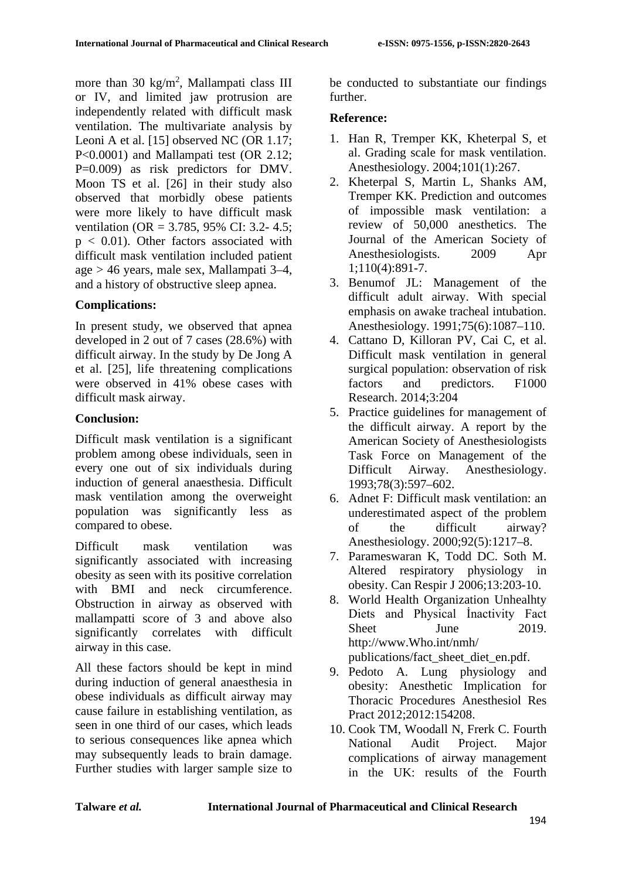more than 30  $\text{kg/m}^2$ , Mallampati class III or IV, and limited jaw protrusion are independently related with difficult mask ventilation. The multivariate analysis by Leoni A et al. [15] observed NC (OR 1.17; P<0.0001) and Mallampati test (OR 2.12; P=0.009) as risk predictors for DMV. Moon TS et al. [26] in their study also observed that morbidly obese patients were more likely to have difficult mask ventilation (OR = 3.785, 95% CI: 3.2- 4.5;  $p < 0.01$ ). Other factors associated with difficult mask ventilation included patient age > 46 years, male sex, Mallampati 3–4, and a history of obstructive sleep apnea.

# **Complications:**

In present study, we observed that apnea developed in 2 out of 7 cases (28.6%) with difficult airway. In the study by De Jong A et al. [25], life threatening complications were observed in 41% obese cases with difficult mask airway.

### **Conclusion:**

Difficult mask ventilation is a significant problem among obese individuals, seen in every one out of six individuals during induction of general anaesthesia. Difficult mask ventilation among the overweight population was significantly less as compared to obese.

Difficult mask ventilation was significantly associated with increasing obesity as seen with its positive correlation with BMI and neck circumference. Obstruction in airway as observed with mallampatti score of 3 and above also significantly correlates with difficult airway in this case.

All these factors should be kept in mind during induction of general anaesthesia in obese individuals as difficult airway may cause failure in establishing ventilation, as seen in one third of our cases, which leads to serious consequences like apnea which may subsequently leads to brain damage. Further studies with larger sample size to

be conducted to substantiate our findings further.

# **Reference:**

- 1. Han R, Tremper KK, Kheterpal S, et al. Grading scale for mask ventilation. Anesthesiology. 2004;101(1):267.
- 2. Kheterpal S, Martin L, Shanks AM, Tremper KK. Prediction and outcomes of impossible mask ventilation: a review of 50,000 anesthetics. The Journal of the American Society of Anesthesiologists. 2009 Apr 1;110(4):891-7.
- 3. Benumof JL: Management of the difficult adult airway. With special emphasis on awake tracheal intubation. Anesthesiology. 1991;75(6):1087–110.
- 4. Cattano D, Killoran PV, Cai C, et al. Difficult mask ventilation in general surgical population: observation of risk factors and predictors. F1000 Research. 2014;3:204
- 5. Practice guidelines for management of the difficult airway. A report by the American Society of Anesthesiologists Task Force on Management of the Difficult Airway. Anesthesiology. 1993;78(3):597–602.
- 6. Adnet F: Difficult mask ventilation: an underestimated aspect of the problem of the difficult airway? Anesthesiology. 2000;92(5):1217–8.
- 7. Parameswaran K, Todd DC. Soth M. Altered respiratory physiology in obesity. Can Respir J 2006;13:203-10.
- 8. World Health Organization Unhealhty Diets and Physical İnactivity Fact Sheet June 2019. http://www.Who.int/nmh/ publications/fact\_sheet\_diet\_en.pdf.
- 9. Pedoto A. Lung physiology and obesity: Anesthetic Implication for Thoracic Procedures Anesthesiol Res Pract 2012;2012:154208.
- 10. Cook TM, Woodall N, Frerk C. Fourth National Audit Project. Major complications of airway management in the UK: results of the Fourth